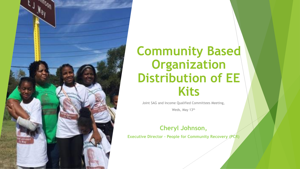

# **Community Based Organization Distribution of EE Kits**

Joint SAG and Income Qualified Committees Meeting,

Weds, May 13th

#### **Cheryl Johnson,**

**Executive Director – People for Community Recovery (PCR)**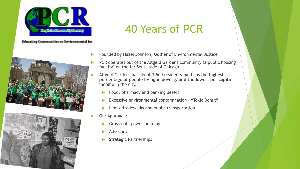

**Educating Communities on Environmental Just** 





#### 40 Years of PCR

- Founded by Hazel Johnson, Mother of Environmental Justice
- PCR operates out of the Altgeld Gardens community (a public housing facility) on the far South-side of Chicago
- Altgeld Gardens has about 3,500 residents. And has the **highest percentage of people living in poverty and the lowest per capita income** in the city.
	- Food, pharmacy and banking desert.
	- Excessive environmental contamination "Toxic Donut"
	- **Limited sidewalks and public transportation**
- Our Approach:
	- Grassroots power-building
	- Advocacy
	- Strategic Partnerships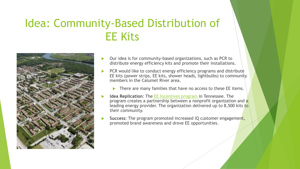## Idea: Community-Based Distribution of EE Kits



- Our idea is for community-based organizations, such as PCR to distribute energy efficiency kits and promote their installations.
- PCR would like to conduct energy efficiency programs and distribute EE kits (power strips, EE kits, shower heads, lightbulbs) to community members in the Calumet River area.
	- $\blacktriangleright$  There are many families that have no access to these EE items.
- **Idea Replication**: The [EE Incentives program](https://eeincentives.com/home/sustainability) in Tennessee. The program creates a partnership between a nonprofit organization and a leading energy provider. The organization delivered up to 8,500 kits to their community.
- **Success**: The program promoted increased IQ customer engagement, promoted brand awareness and drove EE opportunities.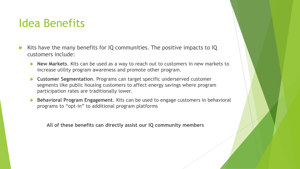#### Idea Benefits

- Kits have the many benefits for IQ communities. The positive impacts to IQ customers include:
	- **New Markets**. Kits can be used as a way to reach out to customers in new markets to increase utility program awareness and promote other program.
	- **Customer Segmentation**. Programs can target specific underserved customer segments like public housing customers to affect energy savings where program participation rates are traditionally lower.
	- **Behavioral Program Engagement**. Kits can be used to engage customers in behavioral programs to "opt-in" to additional program platforms

**All of these benefits can directly assist our IQ community members**